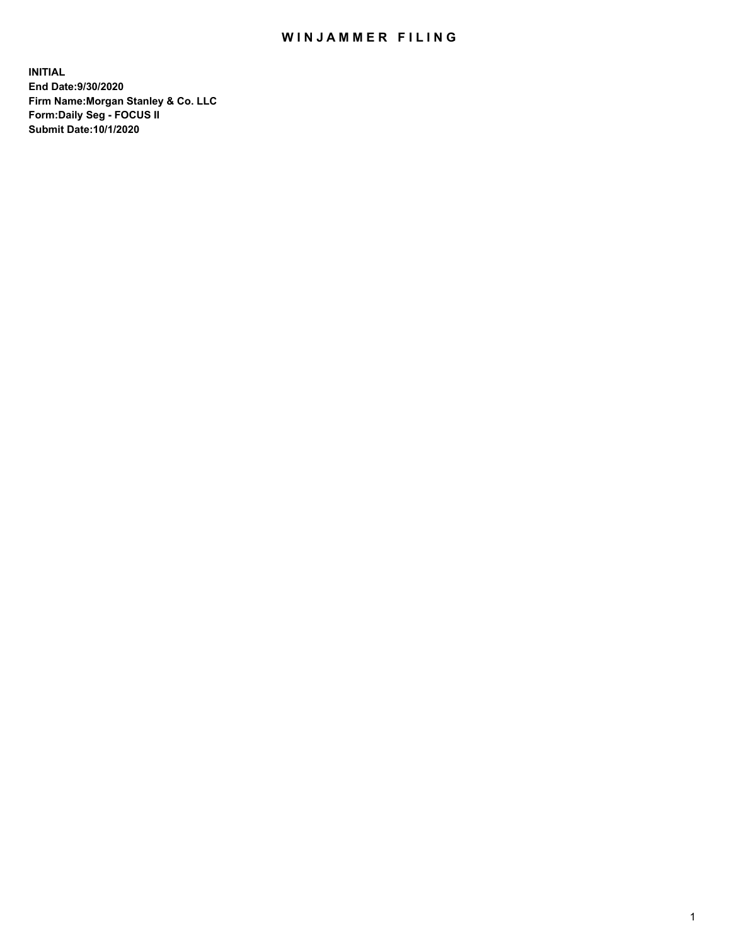## WIN JAMMER FILING

**INITIAL End Date:9/30/2020 Firm Name:Morgan Stanley & Co. LLC Form:Daily Seg - FOCUS II Submit Date:10/1/2020**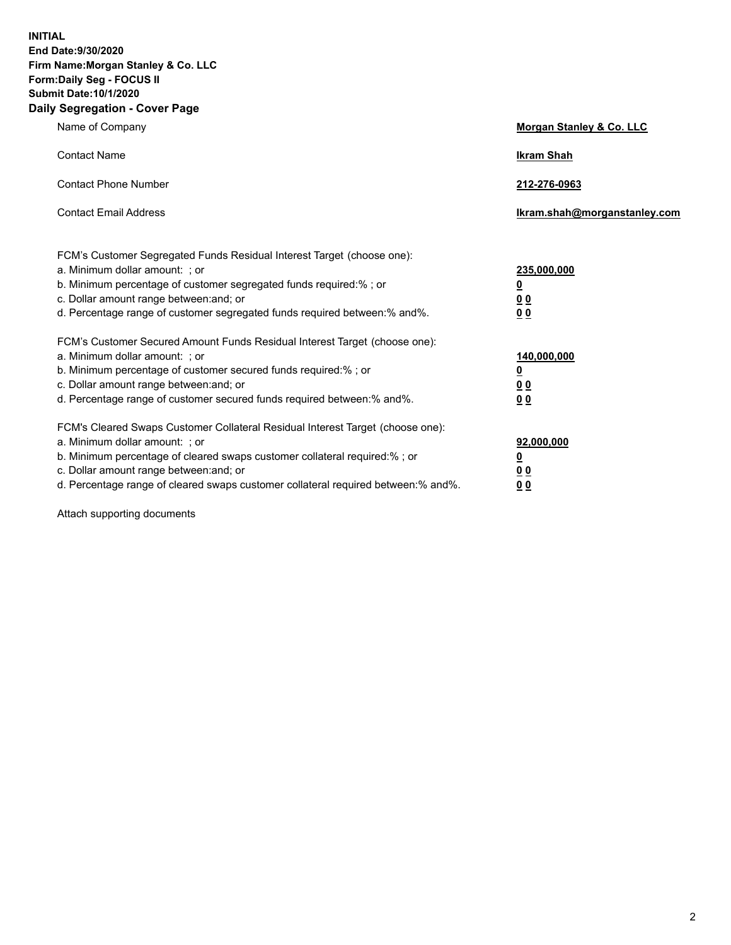**INITIAL End Date:9/30/2020 Firm Name:Morgan Stanley & Co. LLC Form:Daily Seg - FOCUS II Submit Date:10/1/2020 Daily Segregation - Cover Page**

| Name of Company                                                                                                                                                                                                                                                                                                                | Morgan Stanley & Co. LLC                                |
|--------------------------------------------------------------------------------------------------------------------------------------------------------------------------------------------------------------------------------------------------------------------------------------------------------------------------------|---------------------------------------------------------|
| <b>Contact Name</b>                                                                                                                                                                                                                                                                                                            | <b>Ikram Shah</b>                                       |
| <b>Contact Phone Number</b>                                                                                                                                                                                                                                                                                                    | 212-276-0963                                            |
| <b>Contact Email Address</b>                                                                                                                                                                                                                                                                                                   | Ikram.shah@morganstanley.com                            |
| FCM's Customer Segregated Funds Residual Interest Target (choose one):<br>a. Minimum dollar amount: ; or<br>b. Minimum percentage of customer segregated funds required:% ; or<br>c. Dollar amount range between: and; or<br>d. Percentage range of customer segregated funds required between: % and %.                       | 235,000,000<br><u>0</u><br><u>00</u><br><u>00</u>       |
| FCM's Customer Secured Amount Funds Residual Interest Target (choose one):<br>a. Minimum dollar amount: ; or<br>b. Minimum percentage of customer secured funds required:% ; or<br>c. Dollar amount range between: and; or<br>d. Percentage range of customer secured funds required between:% and%.                           | 140,000,000<br><u>0</u><br><u>0 0</u><br>0 <sub>0</sub> |
| FCM's Cleared Swaps Customer Collateral Residual Interest Target (choose one):<br>a. Minimum dollar amount: ; or<br>b. Minimum percentage of cleared swaps customer collateral required:% ; or<br>c. Dollar amount range between: and; or<br>d. Percentage range of cleared swaps customer collateral required between:% and%. | 92,000,000<br><u>0</u><br><u>00</u><br>00               |

Attach supporting documents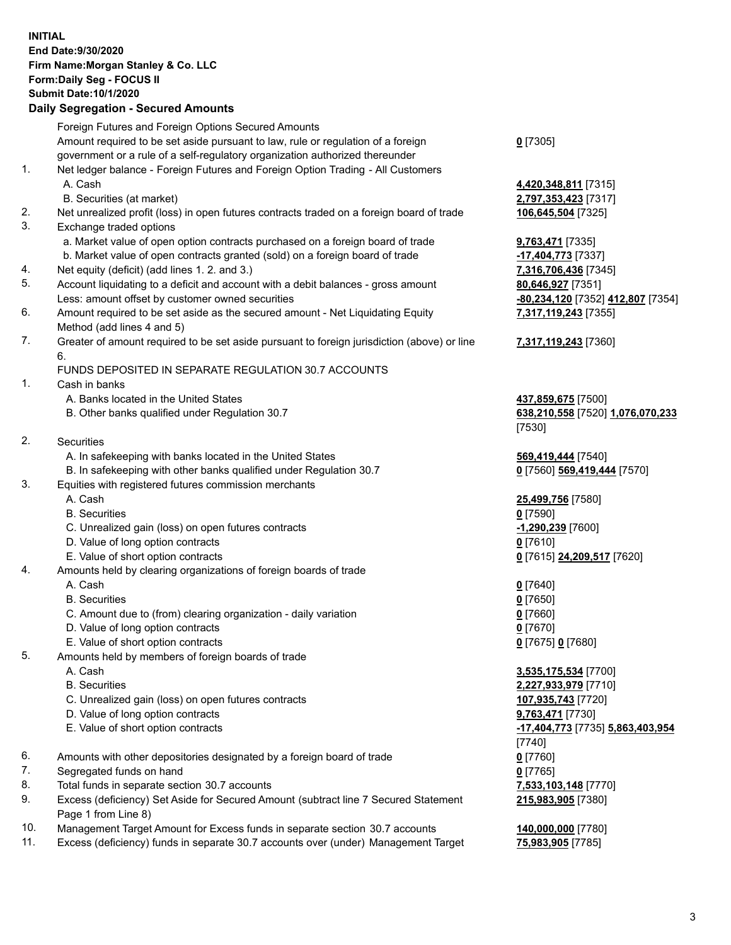## **INITIAL End Date:9/30/2020 Firm Name:Morgan Stanley & Co. LLC Form:Daily Seg - FOCUS II Submit Date:10/1/2020**

## **Daily Segregation - Secured Amounts**

|     | Foreign Futures and Foreign Options Secured Amounts                                                        |                                            |
|-----|------------------------------------------------------------------------------------------------------------|--------------------------------------------|
|     | Amount required to be set aside pursuant to law, rule or regulation of a foreign                           | $0$ [7305]                                 |
|     | government or a rule of a self-regulatory organization authorized thereunder                               |                                            |
| 1.  | Net ledger balance - Foreign Futures and Foreign Option Trading - All Customers                            |                                            |
|     | A. Cash                                                                                                    | 4,420,348,811 [7315]                       |
|     | B. Securities (at market)                                                                                  | 2,797,353,423 [7317]                       |
| 2.  | Net unrealized profit (loss) in open futures contracts traded on a foreign board of trade                  | 106,645,504 [7325]                         |
| 3.  | Exchange traded options                                                                                    |                                            |
|     | a. Market value of open option contracts purchased on a foreign board of trade                             | 9,763,471 [7335]                           |
|     | b. Market value of open contracts granted (sold) on a foreign board of trade                               | -17,404,773 [7337]                         |
| 4.  | Net equity (deficit) (add lines 1.2. and 3.)                                                               | 7,316,706,436 [7345]                       |
| 5.  | Account liquidating to a deficit and account with a debit balances - gross amount                          | 80,646,927 [7351]                          |
|     | Less: amount offset by customer owned securities                                                           | -80,234,120 [7352] 412,807 [7354]          |
| 6.  | Amount required to be set aside as the secured amount - Net Liquidating Equity                             | 7,317,119,243 [7355]                       |
|     | Method (add lines 4 and 5)                                                                                 |                                            |
| 7.  | Greater of amount required to be set aside pursuant to foreign jurisdiction (above) or line<br>6.          | 7,317,119,243 [7360]                       |
|     | FUNDS DEPOSITED IN SEPARATE REGULATION 30.7 ACCOUNTS                                                       |                                            |
| 1.  | Cash in banks                                                                                              |                                            |
|     | A. Banks located in the United States                                                                      | 437,859,675 [7500]                         |
|     | B. Other banks qualified under Regulation 30.7                                                             | 638,210,558 [7520] 1,076,070,233           |
|     |                                                                                                            | [7530]                                     |
| 2.  | Securities                                                                                                 |                                            |
|     | A. In safekeeping with banks located in the United States                                                  | 569,419,444 [7540]                         |
|     | B. In safekeeping with other banks qualified under Regulation 30.7                                         | 0 [7560] 569,419,444 [7570]                |
| 3.  | Equities with registered futures commission merchants                                                      |                                            |
|     | A. Cash                                                                                                    | 25,499,756 [7580]                          |
|     | <b>B.</b> Securities                                                                                       | $0$ [7590]                                 |
|     | C. Unrealized gain (loss) on open futures contracts                                                        | -1,290,239 [7600]                          |
|     | D. Value of long option contracts                                                                          | $0$ [7610]                                 |
|     | E. Value of short option contracts                                                                         | 0 [7615] 24,209,517 [7620]                 |
| 4.  | Amounts held by clearing organizations of foreign boards of trade                                          |                                            |
|     | A. Cash                                                                                                    | $0$ [7640]                                 |
|     | <b>B.</b> Securities                                                                                       | $0$ [7650]                                 |
|     | C. Amount due to (from) clearing organization - daily variation                                            | $0$ [7660]                                 |
|     | D. Value of long option contracts                                                                          | $0$ [7670]                                 |
|     | E. Value of short option contracts                                                                         | 0 [7675] 0 [7680]                          |
| 5.  | Amounts held by members of foreign boards of trade                                                         |                                            |
|     | A. Cash                                                                                                    | 3,535,175,534 [7700]                       |
|     | <b>B.</b> Securities                                                                                       | 2,227,933,979 [7710]                       |
|     | C. Unrealized gain (loss) on open futures contracts                                                        | 107,935,743 [7720]                         |
|     | D. Value of long option contracts                                                                          | 9,763,471 [7730]                           |
|     | E. Value of short option contracts                                                                         | -17,404,773 [7735] 5,863,403,954<br>[7740] |
| 6.  | Amounts with other depositories designated by a foreign board of trade                                     | $0$ [7760]                                 |
| 7.  | Segregated funds on hand                                                                                   | $0$ [7765]                                 |
| 8.  | Total funds in separate section 30.7 accounts                                                              | 7,533,103,148 [7770]                       |
| 9.  | Excess (deficiency) Set Aside for Secured Amount (subtract line 7 Secured Statement<br>Page 1 from Line 8) | 215,983,905 [7380]                         |
| 10. | Management Target Amount for Excess funds in separate section 30.7 accounts                                | 140,000,000 [7780]                         |

11. Excess (deficiency) funds in separate 30.7 accounts over (under) Management Target **75,983,905** [7785]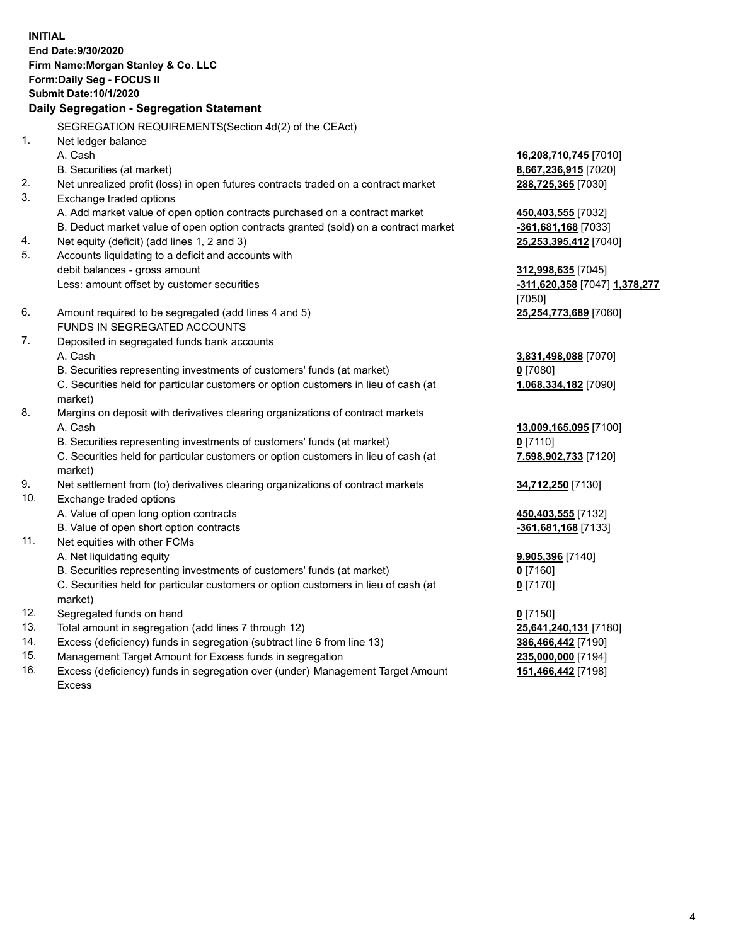**INITIAL End Date:9/30/2020 Firm Name:Morgan Stanley & Co. LLC Form:Daily Seg - FOCUS II Submit Date:10/1/2020 Daily Segregation - Segregation Statement** SEGREGATION REQUIREMENTS(Section 4d(2) of the CEAct) 1. Net ledger balance A. Cash **16,208,710,745** [7010] B. Securities (at market) **8,667,236,915** [7020] 2. Net unrealized profit (loss) in open futures contracts traded on a contract market **288,725,365** [7030] 3. Exchange traded options A. Add market value of open option contracts purchased on a contract market **450,403,555** [7032] B. Deduct market value of open option contracts granted (sold) on a contract market **-361,681,168** [7033] 4. Net equity (deficit) (add lines 1, 2 and 3) **25,253,395,412** [7040] 5. Accounts liquidating to a deficit and accounts with debit balances - gross amount **312,998,635** [7045] Less: amount offset by customer securities **-311,620,358** [7047] **1,378,277** [7050] 6. Amount required to be segregated (add lines 4 and 5) **25,254,773,689** [7060] FUNDS IN SEGREGATED ACCOUNTS 7. Deposited in segregated funds bank accounts A. Cash **3,831,498,088** [7070] B. Securities representing investments of customers' funds (at market) **0** [7080] C. Securities held for particular customers or option customers in lieu of cash (at market) **1,068,334,182** [7090] 8. Margins on deposit with derivatives clearing organizations of contract markets A. Cash **13,009,165,095** [7100] B. Securities representing investments of customers' funds (at market) **0** [7110] C. Securities held for particular customers or option customers in lieu of cash (at market) **7,598,902,733** [7120] 9. Net settlement from (to) derivatives clearing organizations of contract markets **34,712,250** [7130] 10. Exchange traded options A. Value of open long option contracts **450,403,555** [7132] B. Value of open short option contracts **and the set of our of the set of our of the set of the set of the set of the set of the set of the set of the set of the set of the set of the set of the set of the set of the set o** 11. Net equities with other FCMs A. Net liquidating equity **9,905,396** [7140] B. Securities representing investments of customers' funds (at market) **0** [7160] C. Securities held for particular customers or option customers in lieu of cash (at market) **0** [7170] 12. Segregated funds on hand **0** [7150] 13. Total amount in segregation (add lines 7 through 12) **25,641,240,131** [7180] 14. Excess (deficiency) funds in segregation (subtract line 6 from line 13) **386,466,442** [7190] 15. Management Target Amount for Excess funds in segregation **235,000,000** [7194]

16. Excess (deficiency) funds in segregation over (under) Management Target Amount Excess

**151,466,442** [7198]